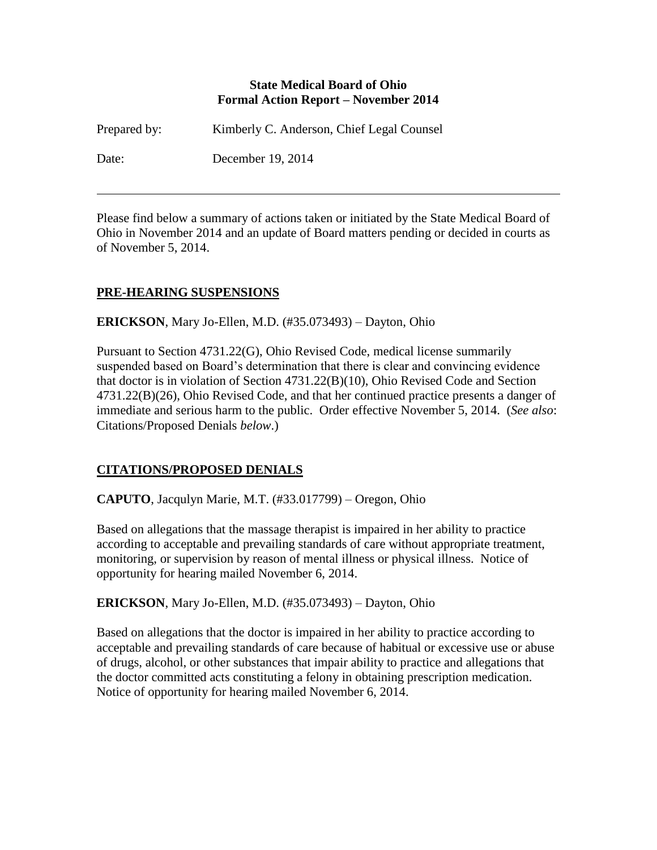#### **State Medical Board of Ohio Formal Action Report – November 2014**

| Prepared by: | Kimberly C. Anderson, Chief Legal Counsel |
|--------------|-------------------------------------------|
| Date:        | December 19, 2014                         |

Please find below a summary of actions taken or initiated by the State Medical Board of Ohio in November 2014 and an update of Board matters pending or decided in courts as of November 5, 2014.

## **PRE-HEARING SUSPENSIONS**

**ERICKSON**, Mary Jo-Ellen, M.D. (#35.073493) – Dayton, Ohio

Pursuant to Section 4731.22(G), Ohio Revised Code, medical license summarily suspended based on Board's determination that there is clear and convincing evidence that doctor is in violation of Section 4731.22(B)(10), Ohio Revised Code and Section 4731.22(B)(26), Ohio Revised Code, and that her continued practice presents a danger of immediate and serious harm to the public. Order effective November 5, 2014. (*See also*: Citations/Proposed Denials *below*.)

### **CITATIONS/PROPOSED DENIALS**

**CAPUTO**, Jacqulyn Marie, M.T. (#33.017799) – Oregon, Ohio

Based on allegations that the massage therapist is impaired in her ability to practice according to acceptable and prevailing standards of care without appropriate treatment, monitoring, or supervision by reason of mental illness or physical illness. Notice of opportunity for hearing mailed November 6, 2014.

**ERICKSON**, Mary Jo-Ellen, M.D. (#35.073493) – Dayton, Ohio

Based on allegations that the doctor is impaired in her ability to practice according to acceptable and prevailing standards of care because of habitual or excessive use or abuse of drugs, alcohol, or other substances that impair ability to practice and allegations that the doctor committed acts constituting a felony in obtaining prescription medication. Notice of opportunity for hearing mailed November 6, 2014.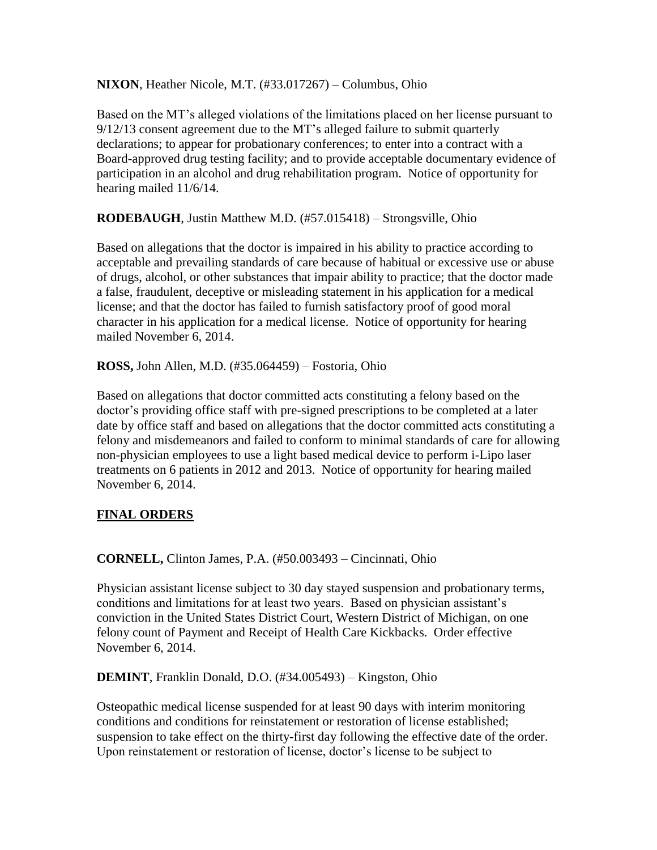**NIXON**, Heather Nicole, M.T. (#33.017267) – Columbus, Ohio

Based on the MT's alleged violations of the limitations placed on her license pursuant to 9/12/13 consent agreement due to the MT's alleged failure to submit quarterly declarations; to appear for probationary conferences; to enter into a contract with a Board-approved drug testing facility; and to provide acceptable documentary evidence of participation in an alcohol and drug rehabilitation program. Notice of opportunity for hearing mailed 11/6/14.

**RODEBAUGH**, Justin Matthew M.D. (#57.015418) – Strongsville, Ohio

Based on allegations that the doctor is impaired in his ability to practice according to acceptable and prevailing standards of care because of habitual or excessive use or abuse of drugs, alcohol, or other substances that impair ability to practice; that the doctor made a false, fraudulent, deceptive or misleading statement in his application for a medical license; and that the doctor has failed to furnish satisfactory proof of good moral character in his application for a medical license. Notice of opportunity for hearing mailed November 6, 2014.

**ROSS,** John Allen, M.D. (#35.064459) – Fostoria, Ohio

Based on allegations that doctor committed acts constituting a felony based on the doctor's providing office staff with pre-signed prescriptions to be completed at a later date by office staff and based on allegations that the doctor committed acts constituting a felony and misdemeanors and failed to conform to minimal standards of care for allowing non-physician employees to use a light based medical device to perform i-Lipo laser treatments on 6 patients in 2012 and 2013. Notice of opportunity for hearing mailed November 6, 2014.

# **FINAL ORDERS**

**CORNELL,** Clinton James, P.A. (#50.003493 – Cincinnati, Ohio

Physician assistant license subject to 30 day stayed suspension and probationary terms, conditions and limitations for at least two years. Based on physician assistant's conviction in the United States District Court, Western District of Michigan, on one felony count of Payment and Receipt of Health Care Kickbacks. Order effective November 6, 2014.

**DEMINT**, Franklin Donald, D.O. (#34.005493) – Kingston, Ohio

Osteopathic medical license suspended for at least 90 days with interim monitoring conditions and conditions for reinstatement or restoration of license established; suspension to take effect on the thirty-first day following the effective date of the order. Upon reinstatement or restoration of license, doctor's license to be subject to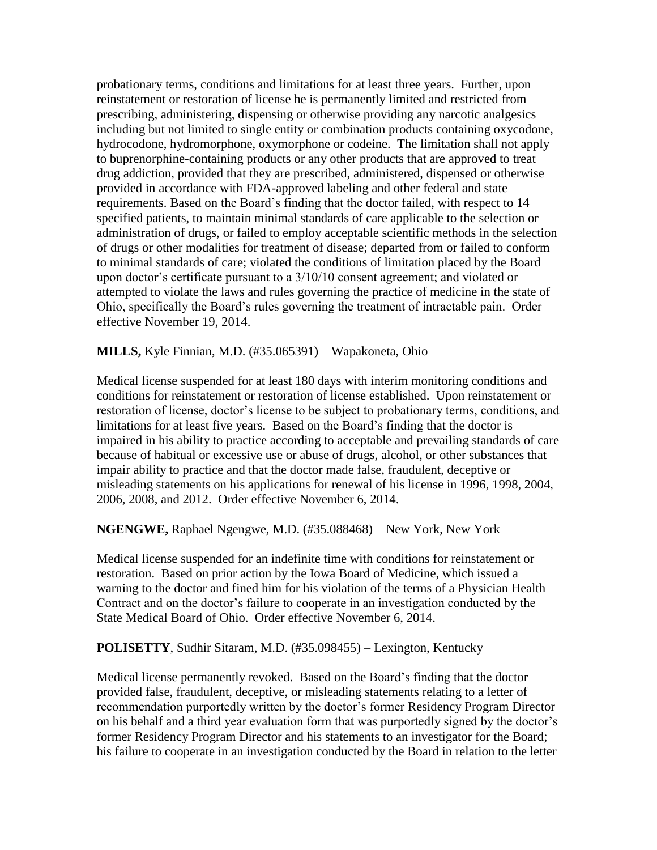probationary terms, conditions and limitations for at least three years. Further, upon reinstatement or restoration of license he is permanently limited and restricted from prescribing, administering, dispensing or otherwise providing any narcotic analgesics including but not limited to single entity or combination products containing oxycodone, hydrocodone, hydromorphone, oxymorphone or codeine. The limitation shall not apply to buprenorphine-containing products or any other products that are approved to treat drug addiction, provided that they are prescribed, administered, dispensed or otherwise provided in accordance with FDA-approved labeling and other federal and state requirements. Based on the Board's finding that the doctor failed, with respect to 14 specified patients, to maintain minimal standards of care applicable to the selection or administration of drugs, or failed to employ acceptable scientific methods in the selection of drugs or other modalities for treatment of disease; departed from or failed to conform to minimal standards of care; violated the conditions of limitation placed by the Board upon doctor's certificate pursuant to a 3/10/10 consent agreement; and violated or attempted to violate the laws and rules governing the practice of medicine in the state of Ohio, specifically the Board's rules governing the treatment of intractable pain. Order effective November 19, 2014.

**MILLS,** Kyle Finnian, M.D. (#35.065391) – Wapakoneta, Ohio

Medical license suspended for at least 180 days with interim monitoring conditions and conditions for reinstatement or restoration of license established. Upon reinstatement or restoration of license, doctor's license to be subject to probationary terms, conditions, and limitations for at least five years. Based on the Board's finding that the doctor is impaired in his ability to practice according to acceptable and prevailing standards of care because of habitual or excessive use or abuse of drugs, alcohol, or other substances that impair ability to practice and that the doctor made false, fraudulent, deceptive or misleading statements on his applications for renewal of his license in 1996, 1998, 2004, 2006, 2008, and 2012. Order effective November 6, 2014.

**NGENGWE,** Raphael Ngengwe, M.D. (#35.088468) – New York, New York

Medical license suspended for an indefinite time with conditions for reinstatement or restoration. Based on prior action by the Iowa Board of Medicine, which issued a warning to the doctor and fined him for his violation of the terms of a Physician Health Contract and on the doctor's failure to cooperate in an investigation conducted by the State Medical Board of Ohio. Order effective November 6, 2014.

**POLISETTY**, Sudhir Sitaram, M.D. (#35.098455) – Lexington, Kentucky

Medical license permanently revoked. Based on the Board's finding that the doctor provided false, fraudulent, deceptive, or misleading statements relating to a letter of recommendation purportedly written by the doctor's former Residency Program Director on his behalf and a third year evaluation form that was purportedly signed by the doctor's former Residency Program Director and his statements to an investigator for the Board; his failure to cooperate in an investigation conducted by the Board in relation to the letter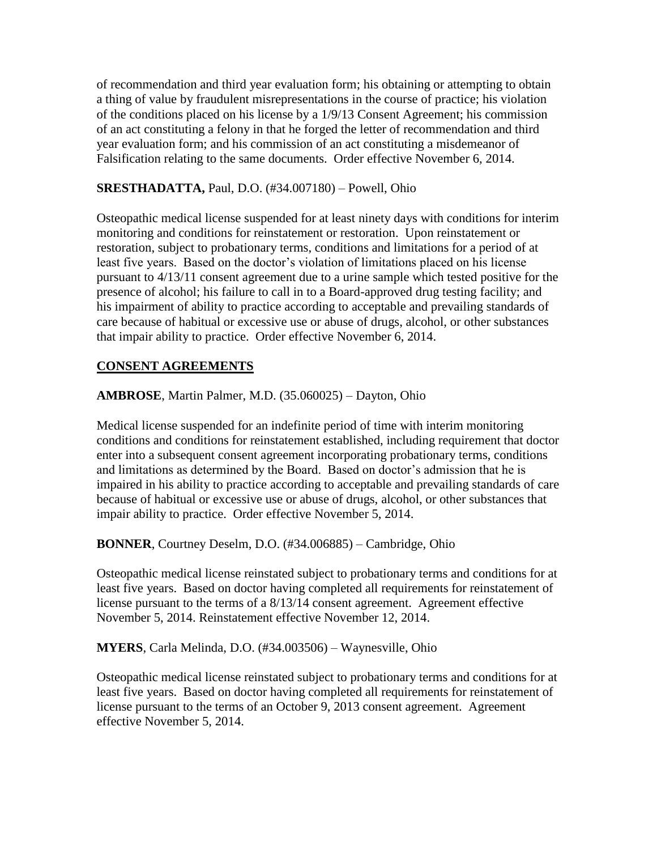of recommendation and third year evaluation form; his obtaining or attempting to obtain a thing of value by fraudulent misrepresentations in the course of practice; his violation of the conditions placed on his license by a 1/9/13 Consent Agreement; his commission of an act constituting a felony in that he forged the letter of recommendation and third year evaluation form; and his commission of an act constituting a misdemeanor of Falsification relating to the same documents. Order effective November 6, 2014.

### **SRESTHADATTA,** Paul, D.O. (#34.007180) – Powell, Ohio

Osteopathic medical license suspended for at least ninety days with conditions for interim monitoring and conditions for reinstatement or restoration. Upon reinstatement or restoration, subject to probationary terms, conditions and limitations for a period of at least five years. Based on the doctor's violation of limitations placed on his license pursuant to 4/13/11 consent agreement due to a urine sample which tested positive for the presence of alcohol; his failure to call in to a Board-approved drug testing facility; and his impairment of ability to practice according to acceptable and prevailing standards of care because of habitual or excessive use or abuse of drugs, alcohol, or other substances that impair ability to practice. Order effective November 6, 2014.

## **CONSENT AGREEMENTS**

**AMBROSE**, Martin Palmer, M.D. (35.060025) – Dayton, Ohio

Medical license suspended for an indefinite period of time with interim monitoring conditions and conditions for reinstatement established, including requirement that doctor enter into a subsequent consent agreement incorporating probationary terms, conditions and limitations as determined by the Board. Based on doctor's admission that he is impaired in his ability to practice according to acceptable and prevailing standards of care because of habitual or excessive use or abuse of drugs, alcohol, or other substances that impair ability to practice. Order effective November 5, 2014.

**BONNER**, Courtney Deselm, D.O. (#34.006885) – Cambridge, Ohio

Osteopathic medical license reinstated subject to probationary terms and conditions for at least five years. Based on doctor having completed all requirements for reinstatement of license pursuant to the terms of a 8/13/14 consent agreement. Agreement effective November 5, 2014. Reinstatement effective November 12, 2014.

**MYERS**, Carla Melinda, D.O. (#34.003506) – Waynesville, Ohio

Osteopathic medical license reinstated subject to probationary terms and conditions for at least five years. Based on doctor having completed all requirements for reinstatement of license pursuant to the terms of an October 9, 2013 consent agreement. Agreement effective November 5, 2014.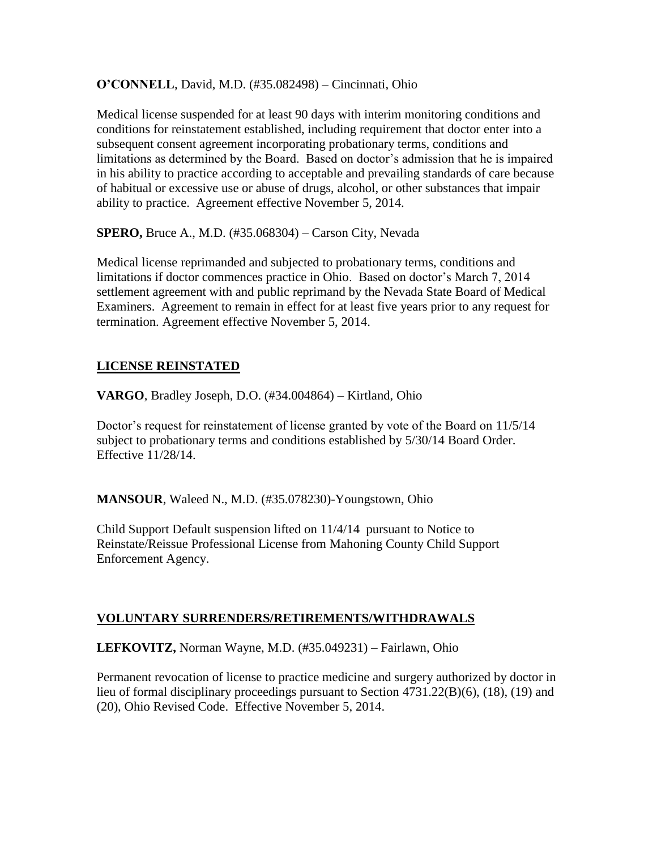**O'CONNELL**, David, M.D. (#35.082498) – Cincinnati, Ohio

Medical license suspended for at least 90 days with interim monitoring conditions and conditions for reinstatement established, including requirement that doctor enter into a subsequent consent agreement incorporating probationary terms, conditions and limitations as determined by the Board. Based on doctor's admission that he is impaired in his ability to practice according to acceptable and prevailing standards of care because of habitual or excessive use or abuse of drugs, alcohol, or other substances that impair ability to practice. Agreement effective November 5, 2014.

**SPERO,** Bruce A., M.D. (#35.068304) – Carson City, Nevada

Medical license reprimanded and subjected to probationary terms, conditions and limitations if doctor commences practice in Ohio. Based on doctor's March 7, 2014 settlement agreement with and public reprimand by the Nevada State Board of Medical Examiners. Agreement to remain in effect for at least five years prior to any request for termination. Agreement effective November 5, 2014.

### **LICENSE REINSTATED**

**VARGO**, Bradley Joseph, D.O. (#34.004864) – Kirtland, Ohio

Doctor's request for reinstatement of license granted by vote of the Board on 11/5/14 subject to probationary terms and conditions established by 5/30/14 Board Order. Effective 11/28/14.

**MANSOUR**, Waleed N., M.D. (#35.078230)-Youngstown, Ohio

Child Support Default suspension lifted on 11/4/14 pursuant to Notice to Reinstate/Reissue Professional License from Mahoning County Child Support Enforcement Agency.

### **VOLUNTARY SURRENDERS/RETIREMENTS/WITHDRAWALS**

**LEFKOVITZ,** Norman Wayne, M.D. (#35.049231) – Fairlawn, Ohio

Permanent revocation of license to practice medicine and surgery authorized by doctor in lieu of formal disciplinary proceedings pursuant to Section 4731.22(B)(6), (18), (19) and (20), Ohio Revised Code. Effective November 5, 2014.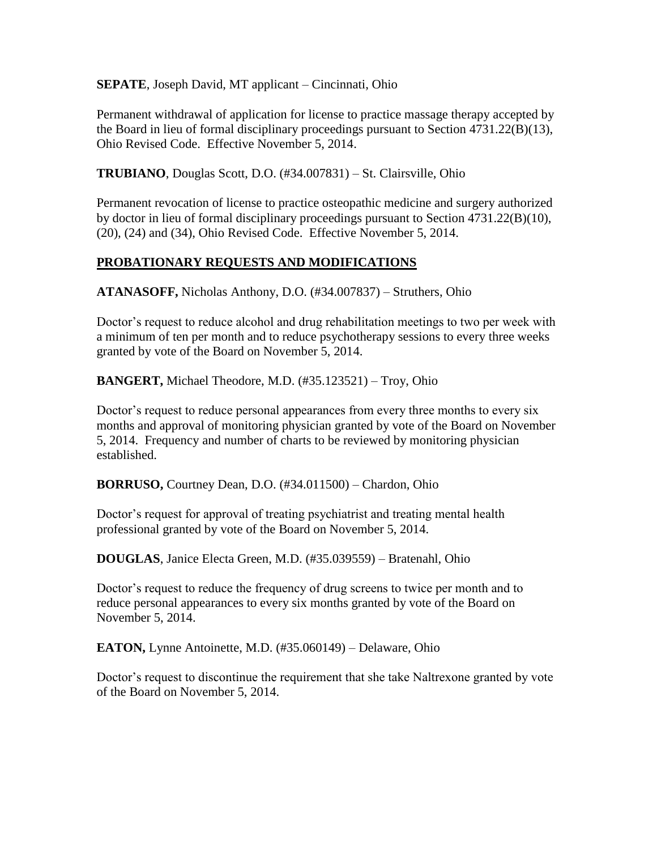**SEPATE**, Joseph David, MT applicant – Cincinnati, Ohio

Permanent withdrawal of application for license to practice massage therapy accepted by the Board in lieu of formal disciplinary proceedings pursuant to Section 4731.22(B)(13), Ohio Revised Code. Effective November 5, 2014.

**TRUBIANO**, Douglas Scott, D.O. (#34.007831) – St. Clairsville, Ohio

Permanent revocation of license to practice osteopathic medicine and surgery authorized by doctor in lieu of formal disciplinary proceedings pursuant to Section 4731.22(B)(10), (20), (24) and (34), Ohio Revised Code. Effective November 5, 2014.

## **PROBATIONARY REQUESTS AND MODIFICATIONS**

**ATANASOFF,** Nicholas Anthony, D.O. (#34.007837) – Struthers, Ohio

Doctor's request to reduce alcohol and drug rehabilitation meetings to two per week with a minimum of ten per month and to reduce psychotherapy sessions to every three weeks granted by vote of the Board on November 5, 2014.

**BANGERT,** Michael Theodore, M.D. (#35.123521) – Troy, Ohio

Doctor's request to reduce personal appearances from every three months to every six months and approval of monitoring physician granted by vote of the Board on November 5, 2014. Frequency and number of charts to be reviewed by monitoring physician established.

**BORRUSO,** Courtney Dean, D.O. (#34.011500) – Chardon, Ohio

Doctor's request for approval of treating psychiatrist and treating mental health professional granted by vote of the Board on November 5, 2014.

**DOUGLAS**, Janice Electa Green, M.D. (#35.039559) – Bratenahl, Ohio

Doctor's request to reduce the frequency of drug screens to twice per month and to reduce personal appearances to every six months granted by vote of the Board on November 5, 2014.

**EATON,** Lynne Antoinette, M.D. (#35.060149) – Delaware, Ohio

Doctor's request to discontinue the requirement that she take Naltrexone granted by vote of the Board on November 5, 2014.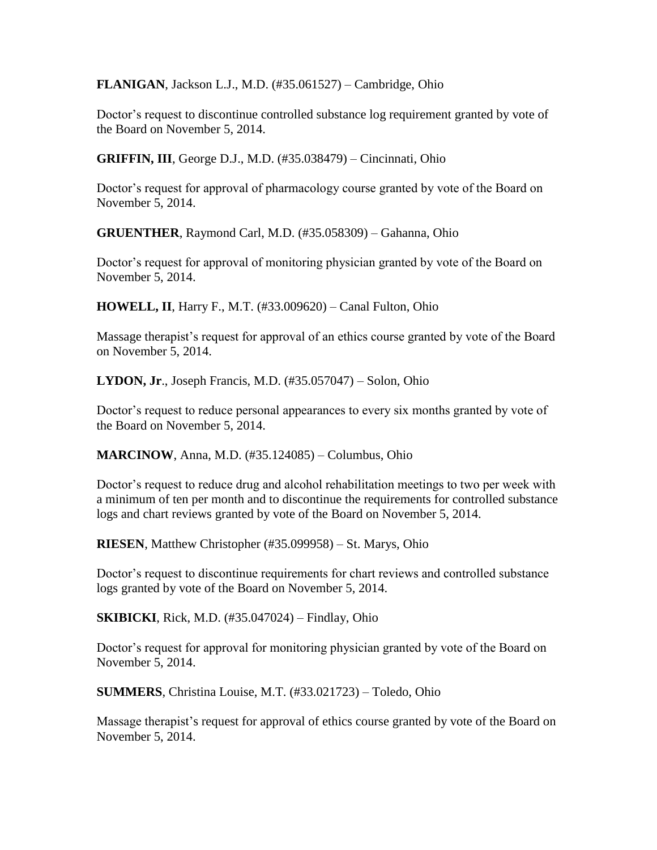**FLANIGAN**, Jackson L.J., M.D. (#35.061527) – Cambridge, Ohio

Doctor's request to discontinue controlled substance log requirement granted by vote of the Board on November 5, 2014.

**GRIFFIN, III**, George D.J., M.D. (#35.038479) – Cincinnati, Ohio

Doctor's request for approval of pharmacology course granted by vote of the Board on November 5, 2014.

**GRUENTHER**, Raymond Carl, M.D. (#35.058309) – Gahanna, Ohio

Doctor's request for approval of monitoring physician granted by vote of the Board on November 5, 2014.

**HOWELL, II**, Harry F., M.T. (#33.009620) – Canal Fulton, Ohio

Massage therapist's request for approval of an ethics course granted by vote of the Board on November 5, 2014.

**LYDON, Jr**., Joseph Francis, M.D. (#35.057047) – Solon, Ohio

Doctor's request to reduce personal appearances to every six months granted by vote of the Board on November 5, 2014.

**MARCINOW**, Anna, M.D. (#35.124085) – Columbus, Ohio

Doctor's request to reduce drug and alcohol rehabilitation meetings to two per week with a minimum of ten per month and to discontinue the requirements for controlled substance logs and chart reviews granted by vote of the Board on November 5, 2014.

**RIESEN**, Matthew Christopher (#35.099958) – St. Marys, Ohio

Doctor's request to discontinue requirements for chart reviews and controlled substance logs granted by vote of the Board on November 5, 2014.

**SKIBICKI**, Rick, M.D. (#35.047024) – Findlay, Ohio

Doctor's request for approval for monitoring physician granted by vote of the Board on November 5, 2014.

**SUMMERS**, Christina Louise, M.T. (#33.021723) – Toledo, Ohio

Massage therapist's request for approval of ethics course granted by vote of the Board on November 5, 2014.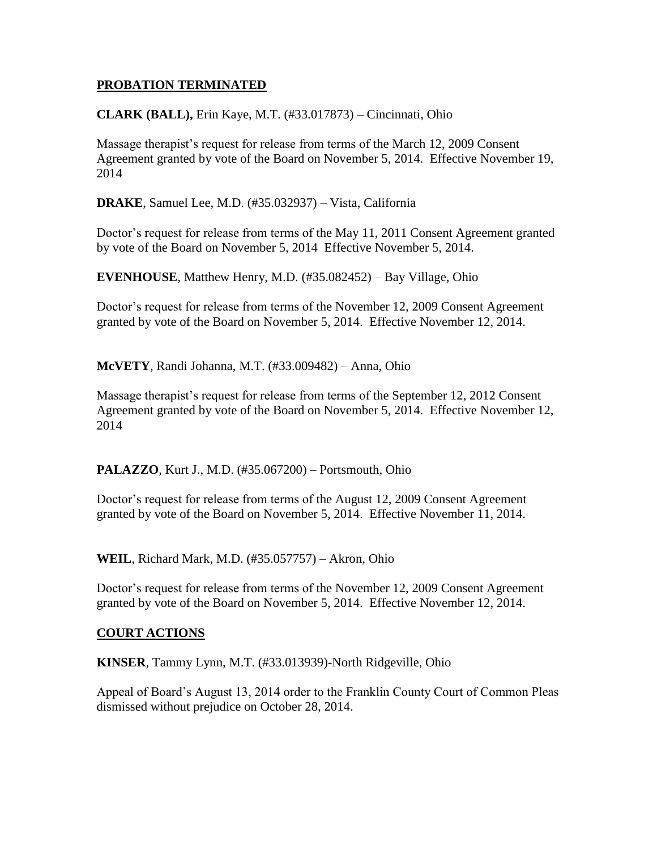### **PROBATION TERMINATED**

#### **CLARK (BALL),** Erin Kaye, M.T. (#33.017873) – Cincinnati, Ohio

Massage therapist's request for release from terms of the March 12, 2009 Consent Agreement granted by vote of the Board on November 5, 2014. Effective November 19, 2014

**DRAKE**, Samuel Lee, M.D. (#35.032937) – Vista, California

Doctor's request for release from terms of the May 11, 2011 Consent Agreement granted by vote of the Board on November 5, 2014 Effective November 5, 2014.

**EVENHOUSE**, Matthew Henry, M.D. (#35.082452) – Bay Village, Ohio

Doctor's request for release from terms of the November 12, 2009 Consent Agreement granted by vote of the Board on November 5, 2014. Effective November 12, 2014.

**McVETY**, Randi Johanna, M.T. (#33.009482) – Anna, Ohio

Massage therapist's request for release from terms of the September 12, 2012 Consent Agreement granted by vote of the Board on November 5, 2014. Effective November 12, 2014

**PALAZZO**, Kurt J., M.D. (#35.067200) – Portsmouth, Ohio

Doctor's request for release from terms of the August 12, 2009 Consent Agreement granted by vote of the Board on November 5, 2014. Effective November 11, 2014.

**WEIL**, Richard Mark, M.D. (#35.057757) – Akron, Ohio

Doctor's request for release from terms of the November 12, 2009 Consent Agreement granted by vote of the Board on November 5, 2014. Effective November 12, 2014.

#### **COURT ACTIONS**

**KINSER**, Tammy Lynn, M.T. (#33.013939)-North Ridgeville, Ohio

Appeal of Board's August 13, 2014 order to the Franklin County Court of Common Pleas dismissed without prejudice on October 28, 2014.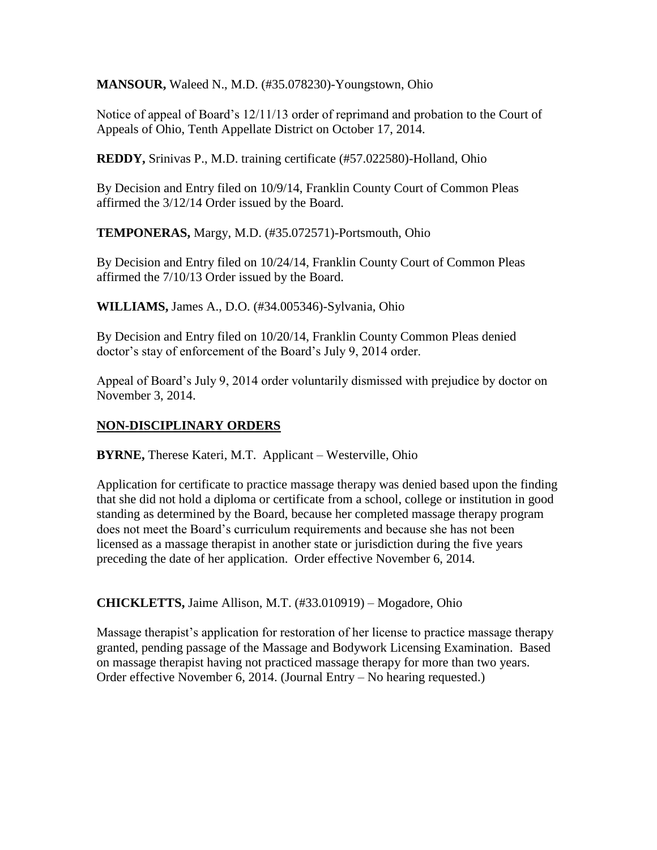**MANSOUR,** Waleed N., M.D. (#35.078230)-Youngstown, Ohio

Notice of appeal of Board's 12/11/13 order of reprimand and probation to the Court of Appeals of Ohio, Tenth Appellate District on October 17, 2014.

**REDDY,** Srinivas P., M.D. training certificate (#57.022580)-Holland, Ohio

By Decision and Entry filed on 10/9/14, Franklin County Court of Common Pleas affirmed the 3/12/14 Order issued by the Board.

**TEMPONERAS,** Margy, M.D. (#35.072571)-Portsmouth, Ohio

By Decision and Entry filed on 10/24/14, Franklin County Court of Common Pleas affirmed the 7/10/13 Order issued by the Board.

**WILLIAMS,** James A., D.O. (#34.005346)-Sylvania, Ohio

By Decision and Entry filed on 10/20/14, Franklin County Common Pleas denied doctor's stay of enforcement of the Board's July 9, 2014 order.

Appeal of Board's July 9, 2014 order voluntarily dismissed with prejudice by doctor on November 3, 2014.

### **NON-DISCIPLINARY ORDERS**

**BYRNE,** Therese Kateri, M.T. Applicant – Westerville, Ohio

Application for certificate to practice massage therapy was denied based upon the finding that she did not hold a diploma or certificate from a school, college or institution in good standing as determined by the Board, because her completed massage therapy program does not meet the Board's curriculum requirements and because she has not been licensed as a massage therapist in another state or jurisdiction during the five years preceding the date of her application. Order effective November 6, 2014.

**CHICKLETTS,** Jaime Allison, M.T. (#33.010919) – Mogadore, Ohio

Massage therapist's application for restoration of her license to practice massage therapy granted, pending passage of the Massage and Bodywork Licensing Examination. Based on massage therapist having not practiced massage therapy for more than two years. Order effective November 6, 2014. (Journal Entry – No hearing requested.)